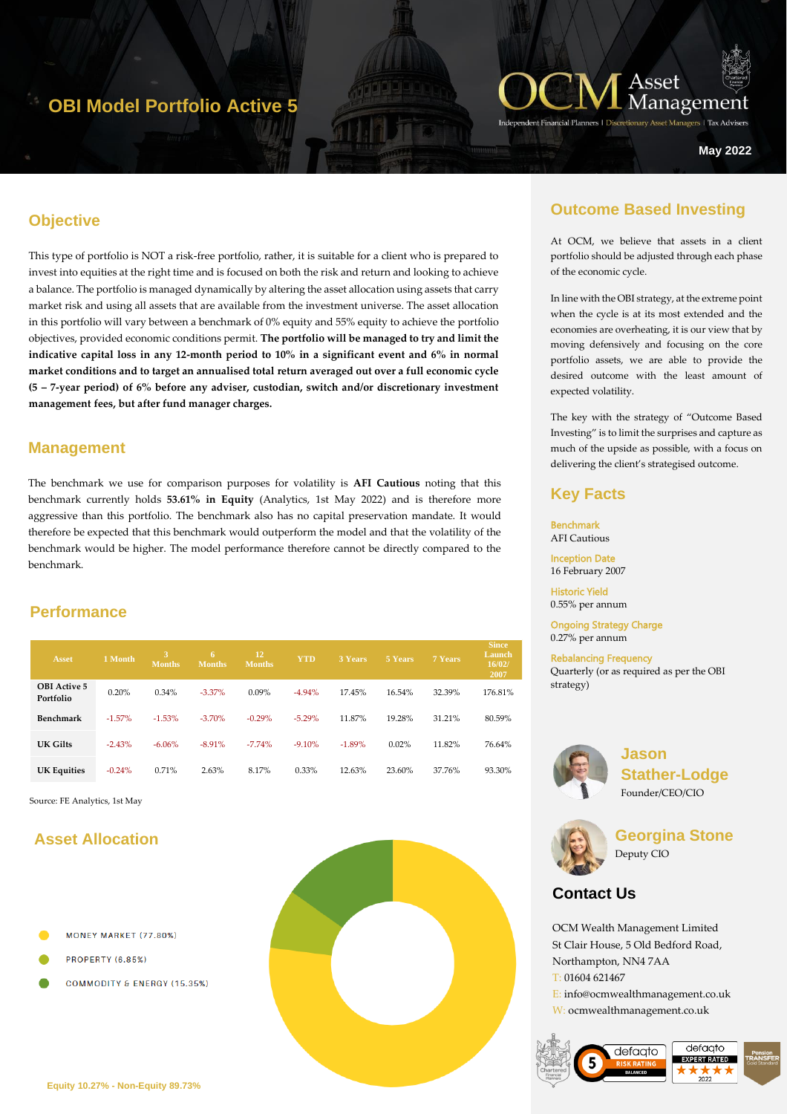## **OBI Model Portfolio Active 5**



ers | Tax Advise

**May 2022**

## **Objective**

This type of portfolio is NOT a risk-free portfolio, rather, it is suitable for a client who is prepared to invest into equities at the right time and is focused on both the risk and return and looking to achieve a balance. The portfolio is managed dynamically by altering the asset allocation using assets that carry market risk and using all assets that are available from the investment universe. The asset allocation in this portfolio will vary between a benchmark of 0% equity and 55% equity to achieve the portfolio objectives, provided economic conditions permit. **The portfolio will be managed to try and limit the indicative capital loss in any 12-month period to 10% in a significant event and 6% in normal market conditions and to target an annualised total return averaged out over a full economic cycle (5 – 7-year period) of 6% before any adviser, custodian, switch and/or discretionary investment management fees, but after fund manager charges.** 

#### **Management**

The benchmark we use for comparison purposes for volatility is **AFI Cautious** noting that this benchmark currently holds **53.61% in Equity** (Analytics, 1st May 2022) and is therefore more aggressive than this portfolio. The benchmark also has no capital preservation mandate. It would therefore be expected that this benchmark would outperform the model and that the volatility of the benchmark would be higher. The model performance therefore cannot be directly compared to the benchmark.

#### **Performance**

| <b>Asset</b>                     | 1 Month.  | в<br>Months. | 6<br><b>Months</b> | 12<br><b>Months</b> | <b>YTD</b> | 3 Years  | 5 Years | 7 Years | <b>Since</b><br>Launch<br>16/02/<br>2007 |
|----------------------------------|-----------|--------------|--------------------|---------------------|------------|----------|---------|---------|------------------------------------------|
| <b>OBI</b> Active 5<br>Portfolio | 0.20%     | 0.34%        | $-3.37\%$          | $0.09\%$            | $-4.94%$   | 17.45%   | 16.54%  | 32.39%  | 176.81%                                  |
| Benchmark                        | $-1.57\%$ | $-1.53%$     | $-3.70%$           | $-0.29%$            | $-5.29%$   | 11.87%   | 19.28%  | 31.21%  | 80.59%                                   |
| UK Gilts                         | $-2.43%$  | $-6.06%$     | $-8.91%$           | $-7.74%$            | $-9.10%$   | $-1.89%$ | 0.02%   | 11.82%  | 76.64%                                   |
| <b>UK Equities</b>               | $-0.24%$  | 0.71%        | 2.63%              | 8.17%               | 0.33%      | 12.63%   | 23.60%  | 37.76%  | 93.30%                                   |

Source: FE Analytics, 1st May

## **Asset Allocation**

- MONEY MARKET (77.80%)
- **PROPERTY (6.85%)**
- COMMODITY & ENERGY (15.35%)



## **Outcome Based Investing**

At OCM, we believe that assets in a client portfolio should be adjusted through each phase of the economic cycle.

In line with the OBI strategy, at the extreme point when the cycle is at its most extended and the economies are overheating, it is our view that by moving defensively and focusing on the core portfolio assets, we are able to provide the desired outcome with the least amount of expected volatility.

The key with the strategy of "Outcome Based Investing" is to limit the surprises and capture as much of the upside as possible, with a focus on delivering the client's strategised outcome.

## **Key Facts**

Benchmark AFI Cautious Inception Date

16 February 2007

Historic Yield 0.55% per annum

Ongoing Strategy Charge 0.27% per annum

Rebalancing Frequency Quarterly (or as required as per the OBI strategy)



**Jason Stather-Lodge** Founder/CEO/CIO



**Georgina Stone** Deputy CIO

## **Contact Us**

OCM Wealth Management Limited St Clair House, 5 Old Bedford Road, Northampton, NN4 7AA T: 01604 621467 E: info@ocmwealthmanagement.co.uk W: ocmwealthmanagement.co.uk